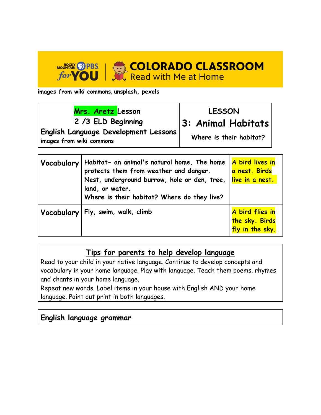

**images from wiki commons, unsplash, pexels** 

| Mrs. Aretz Lesson<br>2 /3 ELD Beginning<br>English Language Development Lessons<br>images from wiki commons |                                                                                         | <b>LESSON</b><br>3: Animal Habitats<br>Where is their habitat? |  |
|-------------------------------------------------------------------------------------------------------------|-----------------------------------------------------------------------------------------|----------------------------------------------------------------|--|
|                                                                                                             |                                                                                         |                                                                |  |
|                                                                                                             | Vocabulary   Habitat- an animal's natural home. The home   <mark>A bird lives in</mark> |                                                                |  |

| <b>VOCQDUIGPY</b>   FIGUITOI - an animal s natural nome. The nome   A Dira lives in<br>protects them from weather and danger.<br>Nest, underground burrow, hole or den, tree, $\vert$ live in a nest.<br>land, or water.<br>Where is their habitat? Where do they live? | a nest. Birds                                                     |
|-------------------------------------------------------------------------------------------------------------------------------------------------------------------------------------------------------------------------------------------------------------------------|-------------------------------------------------------------------|
| Vocabulary   Fly, swim, walk, climb                                                                                                                                                                                                                                     | A bird flies in<br><mark>the sky. Birds</mark><br>fly in the sky. |

## **Tips for parents to help develop language**

Read to your child in your native language. Continue to develop concepts and vocabulary in your home language. Play with language. Teach them poems. rhymes and chants in your home language.

Repeat new words. Label items in your house with English AND your home language. Point out print in both languages.

## **English language grammar**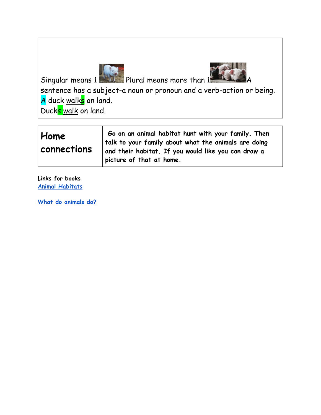



Singular means 1 Plural means more than 1

sentence has a subject-a noun or pronoun and a verb-action or being. A duck walks on land.

Duck<mark>s walk</mark> on land.

| Home<br>$\sf{l}$ connections | Go on an animal habitat hunt with your family. Then<br>talk to your family about what the animals are doing<br>and their habitat. If you would like you can draw a |
|------------------------------|--------------------------------------------------------------------------------------------------------------------------------------------------------------------|
|                              | picture of that at home.                                                                                                                                           |

**Links for books [Animal Habitats](https://docs.google.com/presentation/d/12D8CWzvB_jPVrXLISWxn6_Z-Wvz_ykzniKUV7j9K3-M/edit?usp=sharing)**

**[What do animals do?](https://docs.google.com/presentation/d/1CDwnuuPCgslX9y90mml0-WOvDQPLOeGzITcQDah69Yo/edit?usp=sharing)**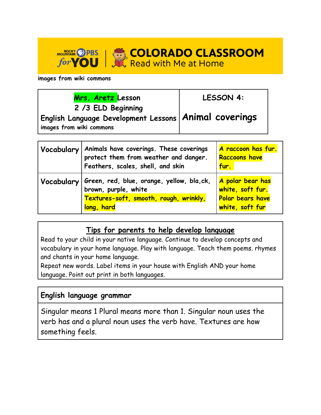**MOUSE SEARCH AND STATE OF A SEAL OF A SEARCH AND STATE OF A SEARCH AND STATE SEARCH AND STATE SEARCH A SEARCH A SEARCH AND STATE SEARCH A SEARCH A SEARCH A SEARCH A SEARCH A SEARCH A SEARCH A SEARCH A SEARCH A SEARCH A SE** 

**images from wiki commons** 

| Mrs. Aretz Lesson                                                                                         | LESSON 4: |  |
|-----------------------------------------------------------------------------------------------------------|-----------|--|
| 2 /3 ELD Beginning<br>English Language Development Lessons   Animal coverings<br>images from wiki commons |           |  |

| Vocabulary | Animals have coverings. These coverings<br>protect them from weather and danger.<br>Feathers, scales, shell, and skin     | A raccoon has fur.<br>Raccoons have<br>fur.                                 |
|------------|---------------------------------------------------------------------------------------------------------------------------|-----------------------------------------------------------------------------|
| Vocabulary | Green, red, blue, orange, yellow, bla,ck,<br>brown, purple, white<br>Textures-soft, smooth, rough, wrinkly,<br>long, hard | A polar bear has<br>white, soft fur.<br>Polar bears have<br>white, soft fur |

## **Tips for parents to help develop language**

Read to your child in your native language. Continue to develop concepts and vocabulary in your home language. Play with language. Teach them poems. rhymes and chants in your home language.

Repeat new words. Label items in your house with English AND your home language. Point out print in both languages.

## **English language grammar**

Singular means 1 Plural means more than 1. Singular noun uses the verb has and a plural noun uses the verb have. Textures are how something feels.